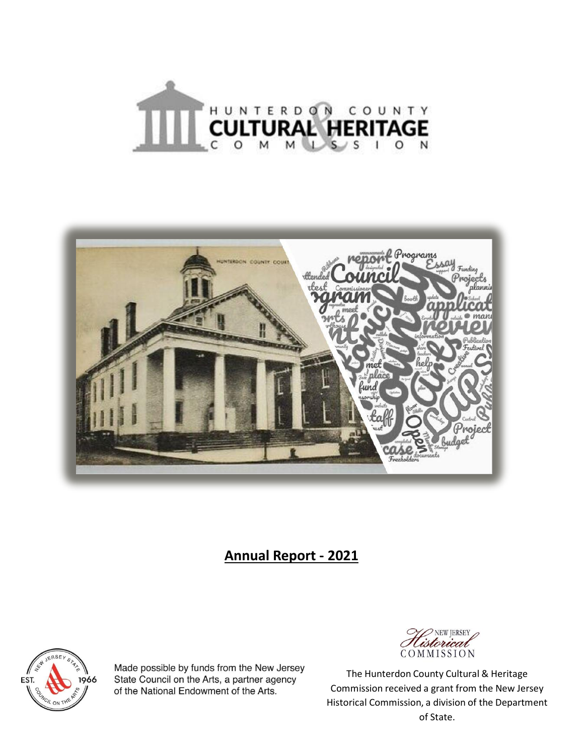



# **Annual Report - 2021**



Made possible by funds from the New Jersey State Council on the Arts, a partner agency of the National Endowment of the Arts.



The Hunterdon County Cultural & Heritage Commission received a grant from the New Jersey Historical Commission, a division of the Department of State.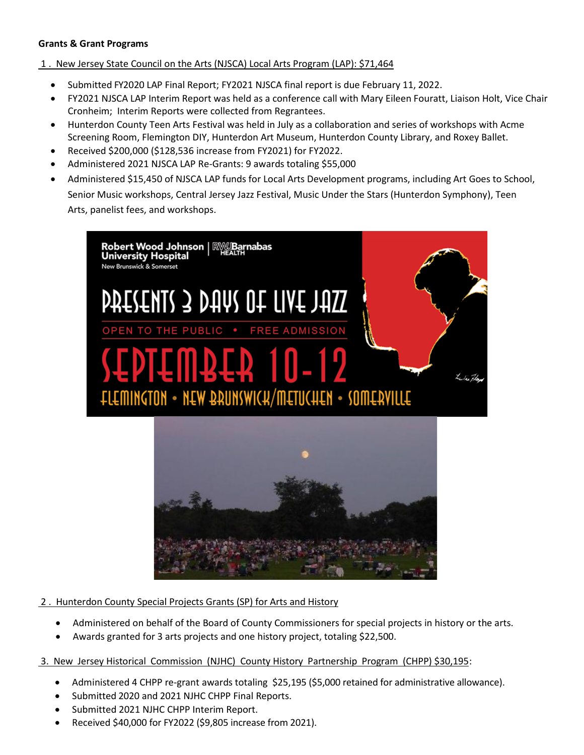#### **Grants & Grant Programs**

## 1 . New Jersey State Council on the Arts (NJSCA) Local Arts Program (LAP): \$71,464

- Submitted FY2020 LAP Final Report; FY2021 NJSCA final report is due February 11, 2022.
- FY2021 NJSCA LAP Interim Report was held as a conference call with Mary Eileen Fouratt, Liaison Holt, Vice Chair Cronheim; Interim Reports were collected from Regrantees.
- Hunterdon County Teen Arts Festival was held in July as a collaboration and series of workshops with Acme Screening Room, Flemington DIY, Hunterdon Art Museum, Hunterdon County Library, and Roxey Ballet.
- Received \$200,000 (\$128,536 increase from FY2021) for FY2022.
- Administered 2021 NJSCA LAP Re-Grants: 9 awards totaling \$55,000
- Administered \$15,450 of NJSCA LAP funds for Local Arts Development programs, including Art Goes to School, Senior Music workshops, Central Jersey Jazz Festival, Music Under the Stars (Hunterdon Symphony), Teen Arts, panelist fees, and workshops.



#### 2 . Hunterdon County Special Projects Grants (SP) for Arts and History

- Administered on behalf of the Board of County Commissioners for special projects in history or the arts.
- Awards granted for 3 arts projects and one history project, totaling \$22,500.

## 3. New Jersey Historical Commission (NJHC) County History Partnership Program (CHPP) \$30,195:

- Administered 4 CHPP re-grant awards totaling \$25,195 (\$5,000 retained for administrative allowance).
- Submitted 2020 and 2021 NJHC CHPP Final Reports.
- Submitted 2021 NJHC CHPP Interim Report.
- Received \$40,000 for FY2022 (\$9,805 increase from 2021).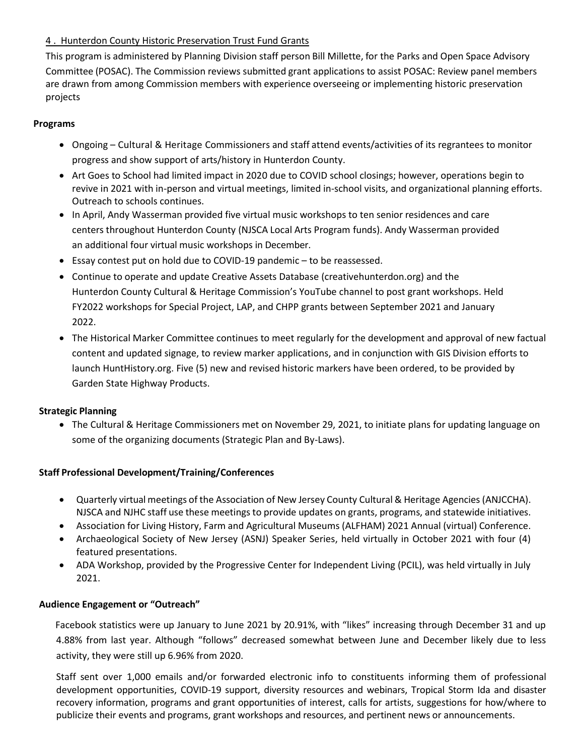# 4 . Hunterdon County Historic Preservation Trust Fund Grants

This program is administered by Planning Division staff person Bill Millette, for the Parks and Open Space Advisory Committee (POSAC). The Commission reviews submitted grant applications to assist POSAC: Review panel members are drawn from among Commission members with experience overseeing or implementing historic preservation projects

#### **Programs**

- Ongoing Cultural & Heritage Commissioners and staff attend events/activities of its regrantees to monitor progress and show support of arts/history in Hunterdon County.
- Art Goes to School had limited impact in 2020 due to COVID school closings; however, operations begin to revive in 2021 with in-person and virtual meetings, limited in-school visits, and organizational planning efforts. Outreach to schools continues.
- In April, Andy Wasserman provided five virtual music workshops to ten senior residences and care centers throughout Hunterdon County (NJSCA Local Arts Program funds). Andy Wasserman provided an additional four virtual music workshops in December.
- Essay contest put on hold due to COVID-19 pandemic to be reassessed.
- Continue to operate and update Creative Assets Database (creativehunterdon.org) and the Hunterdon County Cultural & Heritage Commission's YouTube channel to post grant workshops. Held FY2022 workshops for Special Project, LAP, and CHPP grants between September 2021 and January 2022.
- The Historical Marker Committee continues to meet regularly for the development and approval of new factual content and updated signage, to review marker applications, and in conjunction with GIS Division efforts to launch HuntHistory.org. Five (5) new and revised historic markers have been ordered, to be provided by Garden State Highway Products.

#### **Strategic Planning**

• The Cultural & Heritage Commissioners met on November 29, 2021, to initiate plans for updating language on some of the organizing documents (Strategic Plan and By-Laws).

#### **Staff Professional Development/Training/Conferences**

- Quarterly virtual meetings of the Association of New Jersey County Cultural & Heritage Agencies (ANJCCHA). NJSCA and NJHC staff use these meetings to provide updates on grants, programs, and statewide initiatives.
- Association for Living History, Farm and Agricultural Museums (ALFHAM) 2021 Annual (virtual) Conference.
- Archaeological Society of New Jersey (ASNJ) Speaker Series, held virtually in October 2021 with four (4) featured presentations.
- ADA Workshop, provided by the Progressive Center for Independent Living (PCIL), was held virtually in July 2021.

#### **Audience Engagement or "Outreach"**

Facebook statistics were up January to June 2021 by 20.91%, with "likes" increasing through December 31 and up 4.88% from last year. Although "follows" decreased somewhat between June and December likely due to less activity, they were still up 6.96% from 2020.

Staff sent over 1,000 emails and/or forwarded electronic info to constituents informing them of professional development opportunities, COVID-19 support, diversity resources and webinars, Tropical Storm Ida and disaster recovery information, programs and grant opportunities of interest, calls for artists, suggestions for how/where to publicize their events and programs, grant workshops and resources, and pertinent news or announcements.